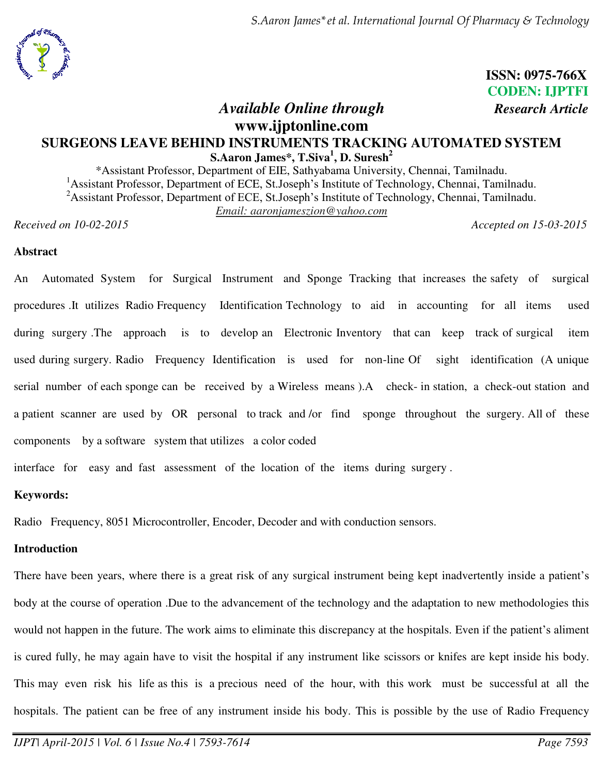

*S.Aaron James\*et al. International Journal Of Pharmacy & Technology* 

# **ISSN: 0975-766X CODEN: IJPTFI**

# *Available Online through Research Article*

# **www.ijptonline.com SURGEONS LEAVE BEHIND INSTRUMENTS TRACKING AUTOMATED SYSTEM S.Aaron James\*, T.Siva<sup>1</sup> , D. Suresh<sup>2</sup>**

\*Assistant Professor, Department of EIE, Sathyabama University, Chennai, Tamilnadu. <sup>1</sup>Assistant Professor, Department of ECE, St.Joseph's Institute of Technology, Chennai, Tamilnadu. <sup>2</sup>Assistant Professor, Department of ECE, St.Joseph's Institute of Technology, Chennai, Tamilnadu. *Email: aaronjameszion@yahoo.com* 

*Received on 10-02-2015 Accepted on 15-03-2015* 

# **Abstract**

An Automated System for Surgical Instrument and Sponge Tracking that increases the safety of surgical procedures .It utilizes Radio Frequency Identification Technology to aid in accounting for all items used during surgery .The approach is to develop an Electronic Inventory that can keep track of surgical item used during surgery. Radio Frequency Identification is used for non-line Of sight identification (A unique serial number of each sponge can be received by a Wireless means ).A check- in station, a check-out station and a patient scanner are used by OR personal to track and /or find sponge throughout the surgery. All of these components by a software system that utilizes a color coded

interface for easy and fast assessment of the location of the items during surgery .

# **Keywords:**

Radio Frequency, 8051 Microcontroller, Encoder, Decoder and with conduction sensors.

# **Introduction**

There have been years, where there is a great risk of any surgical instrument being kept inadvertently inside a patient's body at the course of operation .Due to the advancement of the technology and the adaptation to new methodologies this would not happen in the future. The work aims to eliminate this discrepancy at the hospitals. Even if the patient's aliment is cured fully, he may again have to visit the hospital if any instrument like scissors or knifes are kept inside his body. This may even risk his life as this is a precious need of the hour, with this work must be successful at all the hospitals. The patient can be free of any instrument inside his body. This is possible by the use of Radio Frequency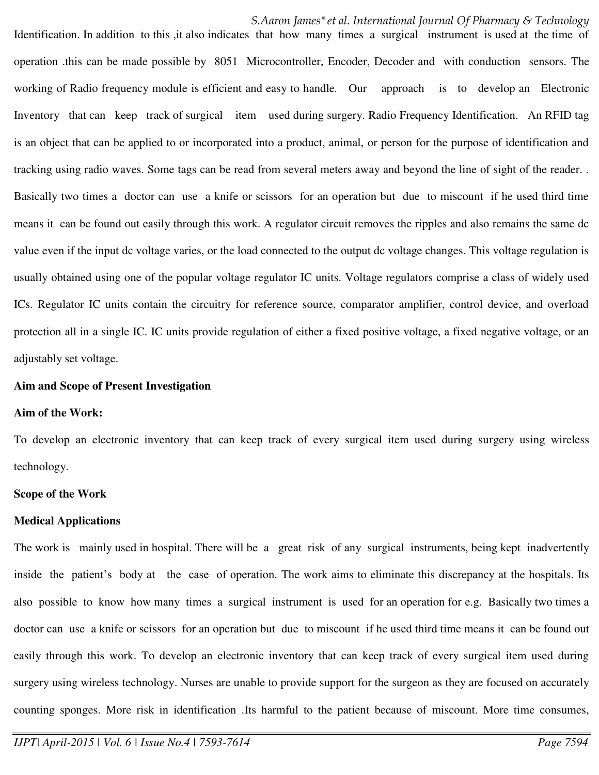*S.Aaron James\*et al. International Journal Of Pharmacy & Technology* 

Identification. In addition to this , it also indicates that how many times a surgical instrument is used at the time of operation .this can be made possible by 8051 Microcontroller, Encoder, Decoder and with conduction sensors. The working of Radio frequency module is efficient and easy to handle*.* Our approach is to develop an Electronic Inventory that can keep track of surgical item used during surgery. Radio Frequency Identification. An RFID tag is an object that can be applied to or incorporated into a product, animal, or person for the purpose of identification and tracking using radio waves. Some tags can be read from several meters away and beyond the line of sight of the reader. . Basically two times a doctor can use a knife or scissors for an operation but due to miscount if he used third time means it can be found out easily through this work. A regulator circuit removes the ripples and also remains the same dc value even if the input dc voltage varies, or the load connected to the output dc voltage changes. This voltage regulation is usually obtained using one of the popular voltage regulator IC units. Voltage regulators comprise a class of widely used ICs. Regulator IC units contain the circuitry for reference source, comparator amplifier, control device, and overload protection all in a single IC. IC units provide regulation of either a fixed positive voltage, a fixed negative voltage, or an adjustably set voltage.

#### **Aim and Scope of Present Investigation**

#### **Aim of the Work:**

To develop an electronic inventory that can keep track of every surgical item used during surgery using wireless technology.

#### **Scope of the Work**

#### **Medical Applications**

The work is mainly used in hospital. There will be a great risk of any surgical instruments, being kept inadvertently inside the patient's body at the case of operation. The work aims to eliminate this discrepancy at the hospitals. Its also possible to know how many times a surgical instrument is used for an operation for e.g. Basically two times a doctor can use a knife or scissors for an operation but due to miscount if he used third time means it can be found out easily through this work. To develop an electronic inventory that can keep track of every surgical item used during surgery using wireless technology. Nurses are unable to provide support for the surgeon as they are focused on accurately counting sponges. More risk in identification .Its harmful to the patient because of miscount. More time consumes,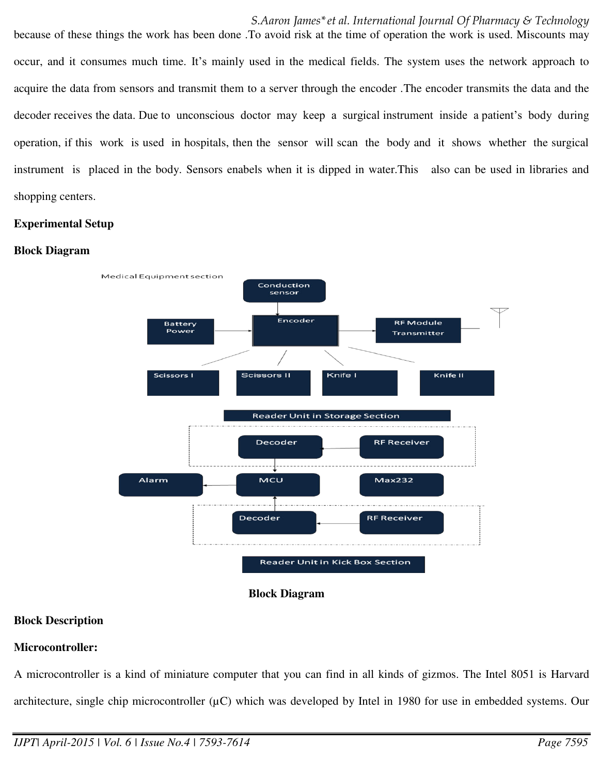*S.Aaron James\*et al. International Journal Of Pharmacy & Technology*  because of these things the work has been done .To avoid risk at the time of operation the work is used. Miscounts may occur, and it consumes much time. It's mainly used in the medical fields. The system uses the network approach to acquire the data from sensors and transmit them to a server through the encoder .The encoder transmits the data and the decoder receives the data. Due to unconscious doctor may keep a surgical instrument inside a patient's body during operation, if this work is used in hospitals, then the sensor will scan the body and it shows whether the surgical instrument is placed in the body. Sensors enabels when it is dipped in water.This also can be used in libraries and shopping centers.

# **Experimental Setup**

# **Block Diagram**





# **Block Description**

# **Microcontroller:**

A microcontroller is a kind of miniature computer that you can find in all kinds of gizmos. The Intel 8051 is Harvard architecture, single chip microcontroller  $(\mu C)$  which was developed by Intel in 1980 for use in embedded systems. Our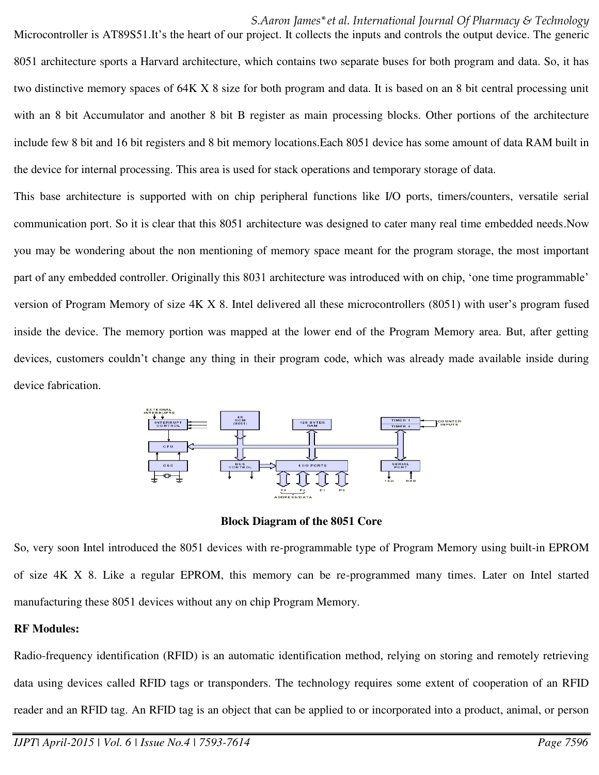#### *S.Aaron James\*et al. International Journal Of Pharmacy & Technology*

Microcontroller is AT89S51.It's the heart of our project. It collects the inputs and controls the output device. The generic 8051 architecture sports a Harvard architecture, which contains two separate buses for both program and data. So, it has two distinctive memory spaces of 64K X 8 size for both program and data. It is based on an 8 bit central processing unit with an 8 bit Accumulator and another 8 bit B register as main processing blocks. Other portions of the architecture include few 8 bit and 16 bit registers and 8 bit memory locations.Each 8051 device has some amount of data RAM built in the device for internal processing. This area is used for stack operations and temporary storage of data.

This base architecture is supported with on chip peripheral functions like I/O ports, timers/counters, versatile serial communication port. So it is clear that this 8051 architecture was designed to cater many real time embedded needs.Now you may be wondering about the non mentioning of memory space meant for the program storage, the most important part of any embedded controller. Originally this 8031 architecture was introduced with on chip, 'one time programmable' version of Program Memory of size 4K X 8. Intel delivered all these microcontrollers (8051) with user's program fused inside the device. The memory portion was mapped at the lower end of the Program Memory area. But, after getting devices, customers couldn't change any thing in their program code, which was already made available inside during device fabrication.



**Block Diagram of the 8051 Core** 

So, very soon Intel introduced the 8051 devices with re-programmable type of Program Memory using built-in EPROM of size 4K X 8. Like a regular EPROM, this memory can be re-programmed many times. Later on Intel started manufacturing these 8051 devices without any on chip Program Memory.

#### **RF Modules:**

Radio-frequency identification (RFID) is an automatic identification method, relying on storing and remotely retrieving data using devices called RFID tags or transponders. The technology requires some extent of cooperation of an RFID reader and an RFID tag. An RFID tag is an object that can be applied to or incorporated into a product, animal, or person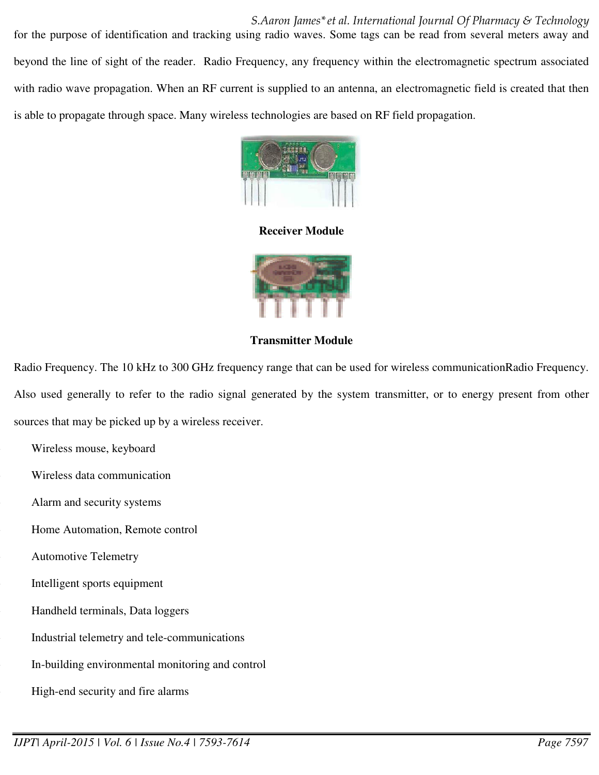*S.Aaron James\*et al. International Journal Of Pharmacy & Technology*  for the purpose of identification and tracking using radio waves. Some tags can be read from several meters away and beyond the line of sight of the reader.Radio Frequency, any frequency within the electromagnetic spectrum associated with radio wave propagation. When an RF current is supplied to an antenna, an electromagnetic field is created that then is able to propagate through space. Many wireless technologies are based on RF field propagation.



**Receiver Module** 



**Transmitter Module** 

Radio Frequency. The 10 kHz to 300 GHz frequency range that can be used for wireless communicationRadio Frequency. Also used generally to refer to the radio signal generated by the system transmitter, or to energy present from other sources that may be picked up by a wireless receiver.

Wireless mouse, keyboard

Wireless data communication

Alarm and security systems

Home Automation, Remote control

Automotive Telemetry

Intelligent sports equipment

Handheld terminals, Data loggers

Industrial telemetry and tele-communications

In-building environmental monitoring and control

High-end security and fire alarms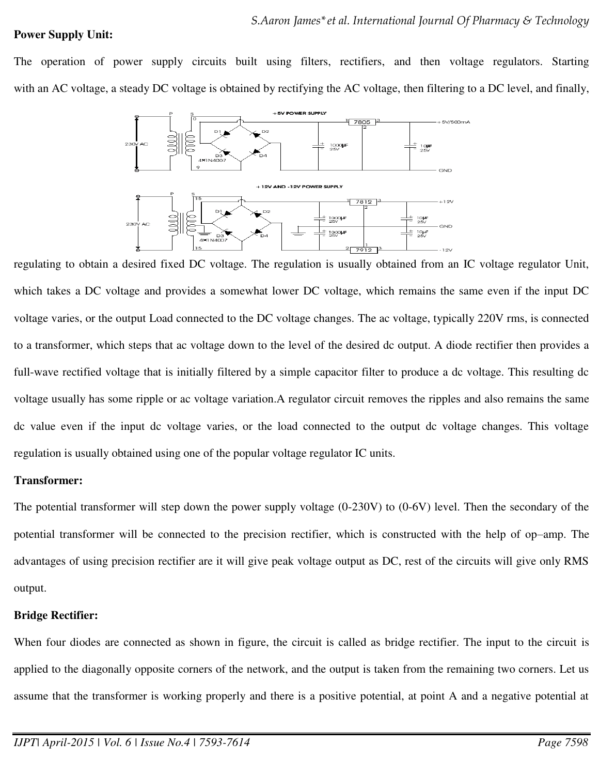#### **Power Supply Unit:**

The operation of power supply circuits built using filters, rectifiers, and then voltage regulators. Starting with an AC voltage, a steady DC voltage is obtained by rectifying the AC voltage, then filtering to a DC level, and finally,



regulating to obtain a desired fixed DC voltage. The regulation is usually obtained from an IC voltage regulator Unit, which takes a DC voltage and provides a somewhat lower DC voltage, which remains the same even if the input DC voltage varies, or the output Load connected to the DC voltage changes. The ac voltage, typically 220V rms, is connected to a transformer, which steps that ac voltage down to the level of the desired dc output. A diode rectifier then provides a full-wave rectified voltage that is initially filtered by a simple capacitor filter to produce a dc voltage. This resulting dc voltage usually has some ripple or ac voltage variation.A regulator circuit removes the ripples and also remains the same dc value even if the input dc voltage varies, or the load connected to the output dc voltage changes. This voltage regulation is usually obtained using one of the popular voltage regulator IC units.

# **Transformer:**

The potential transformer will step down the power supply voltage (0-230V) to (0-6V) level. Then the secondary of the potential transformer will be connected to the precision rectifier, which is constructed with the help of op–amp. The advantages of using precision rectifier are it will give peak voltage output as DC, rest of the circuits will give only RMS output.

#### **Bridge Rectifier:**

When four diodes are connected as shown in figure, the circuit is called as bridge rectifier. The input to the circuit is applied to the diagonally opposite corners of the network, and the output is taken from the remaining two corners. Let us assume that the transformer is working properly and there is a positive potential, at point A and a negative potential at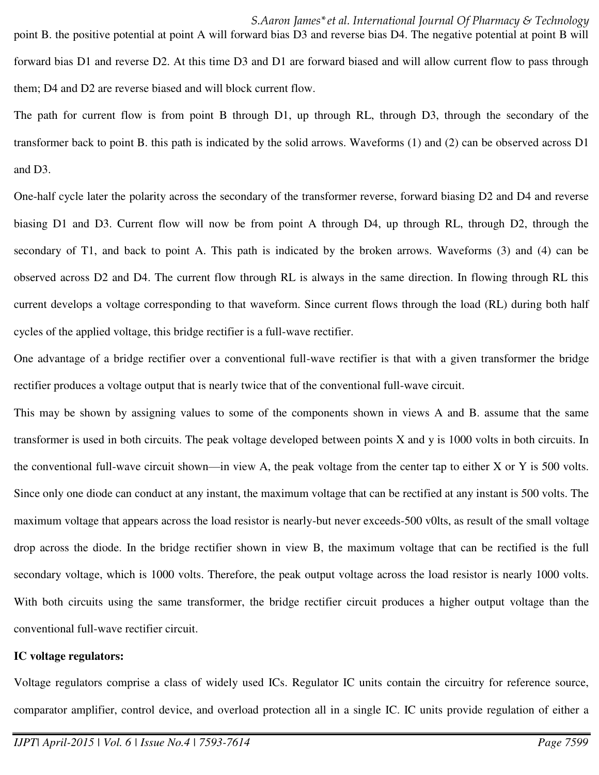point B. the positive potential at point A will forward bias D3 and reverse bias D4. The negative potential at point B will forward bias D1 and reverse D2. At this time D3 and D1 are forward biased and will allow current flow to pass through them; D4 and D2 are reverse biased and will block current flow.

The path for current flow is from point B through D1, up through RL, through D3, through the secondary of the transformer back to point B. this path is indicated by the solid arrows. Waveforms (1) and (2) can be observed across D1 and D3.

One-half cycle later the polarity across the secondary of the transformer reverse, forward biasing D2 and D4 and reverse biasing D1 and D3. Current flow will now be from point A through D4, up through RL, through D2, through the secondary of T1, and back to point A. This path is indicated by the broken arrows. Waveforms (3) and (4) can be observed across D2 and D4. The current flow through RL is always in the same direction. In flowing through RL this current develops a voltage corresponding to that waveform. Since current flows through the load (RL) during both half cycles of the applied voltage, this bridge rectifier is a full-wave rectifier.

One advantage of a bridge rectifier over a conventional full-wave rectifier is that with a given transformer the bridge rectifier produces a voltage output that is nearly twice that of the conventional full-wave circuit.

This may be shown by assigning values to some of the components shown in views A and B. assume that the same transformer is used in both circuits. The peak voltage developed between points X and y is 1000 volts in both circuits. In the conventional full-wave circuit shown—in view A, the peak voltage from the center tap to either X or Y is 500 volts. Since only one diode can conduct at any instant, the maximum voltage that can be rectified at any instant is 500 volts. The maximum voltage that appears across the load resistor is nearly-but never exceeds-500 v0lts, as result of the small voltage drop across the diode. In the bridge rectifier shown in view B, the maximum voltage that can be rectified is the full secondary voltage, which is 1000 volts. Therefore, the peak output voltage across the load resistor is nearly 1000 volts. With both circuits using the same transformer, the bridge rectifier circuit produces a higher output voltage than the conventional full-wave rectifier circuit.

#### **IC voltage regulators:**

Voltage regulators comprise a class of widely used ICs. Regulator IC units contain the circuitry for reference source, comparator amplifier, control device, and overload protection all in a single IC. IC units provide regulation of either a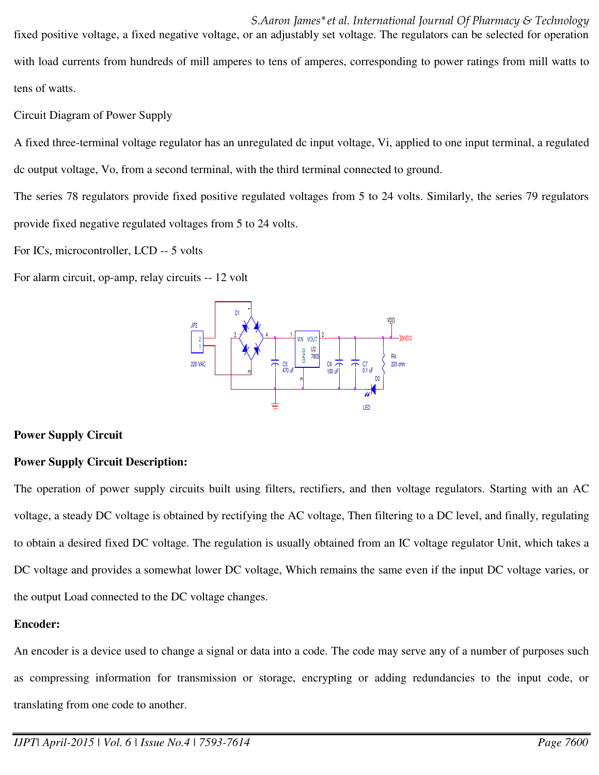*S.Aaron James\*et al. International Journal Of Pharmacy & Technology*  fixed positive voltage, a fixed negative voltage, or an adjustably set voltage. The regulators can be selected for operation with load currents from hundreds of mill amperes to tens of amperes, corresponding to power ratings from mill watts to tens of watts.

Circuit Diagram of Power Supply

A fixed three-terminal voltage regulator has an unregulated dc input voltage, Vi, applied to one input terminal, a regulated dc output voltage, Vo, from a second terminal, with the third terminal connected to ground.

The series 78 regulators provide fixed positive regulated voltages from 5 to 24 volts. Similarly, the series 79 regulators provide fixed negative regulated voltages from 5 to 24 volts.

For ICs, microcontroller, LCD -- 5 volts

For alarm circuit, op-amp, relay circuits -- 12 volt



# **Power Supply Circuit**

# **Power Supply Circuit Description:**

The operation of power supply circuits built using filters, rectifiers, and then voltage regulators. Starting with an AC voltage, a steady DC voltage is obtained by rectifying the AC voltage, Then filtering to a DC level, and finally, regulating to obtain a desired fixed DC voltage. The regulation is usually obtained from an IC voltage regulator Unit, which takes a DC voltage and provides a somewhat lower DC voltage, Which remains the same even if the input DC voltage varies, or the output Load connected to the DC voltage changes.

# **Encoder:**

An encoder is a device used to change a signal or data into a code. The code may serve any of a number of purposes such as compressing information for transmission or storage, encrypting or adding redundancies to the input code, or translating from one code to another.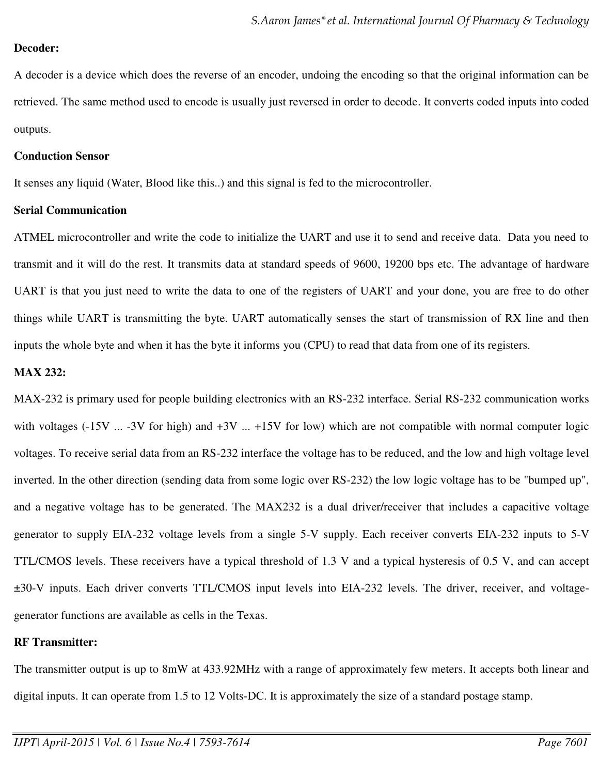# **Decoder:**

A decoder is a device which does the reverse of an encoder, undoing the encoding so that the original information can be retrieved. The same method used to encode is usually just reversed in order to decode. It converts coded inputs into coded outputs.

### **Conduction Sensor**

It senses any liquid (Water, Blood like this..) and this signal is fed to the microcontroller.

#### **Serial Communication**

ATMEL microcontroller and write the code to initialize the UART and use it to send and receive data. Data you need to transmit and it will do the rest. It transmits data at standard speeds of 9600, 19200 bps etc. The advantage of hardware UART is that you just need to write the data to one of the registers of UART and your done, you are free to do other things while UART is transmitting the byte. UART automatically senses the start of transmission of RX line and then inputs the whole byte and when it has the byte it informs you (CPU) to read that data from one of its registers.

# **MAX 232:**

MAX-232 is primary used for people building electronics with an RS-232 interface. Serial RS-232 communication works with voltages  $(-15V \dots -3V$  for high) and  $+3V \dots +15V$  for low) which are not compatible with normal computer logic voltages. To receive serial data from an RS-232 interface the voltage has to be reduced, and the low and high voltage level inverted. In the other direction (sending data from some logic over RS-232) the low logic voltage has to be "bumped up", and a negative voltage has to be generated. The MAX232 is a dual driver/receiver that includes a capacitive voltage generator to supply EIA-232 voltage levels from a single 5-V supply. Each receiver converts EIA-232 inputs to 5-V TTL/CMOS levels. These receivers have a typical threshold of 1.3 V and a typical hysteresis of 0.5 V, and can accept ±30-V inputs. Each driver converts TTL/CMOS input levels into EIA-232 levels. The driver, receiver, and voltagegenerator functions are available as cells in the Texas.

# **RF Transmitter:**

The transmitter output is up to 8mW at 433.92MHz with a range of approximately few meters. It accepts both linear and digital inputs. It can operate from 1.5 to 12 Volts-DC. It is approximately the size of a standard postage stamp.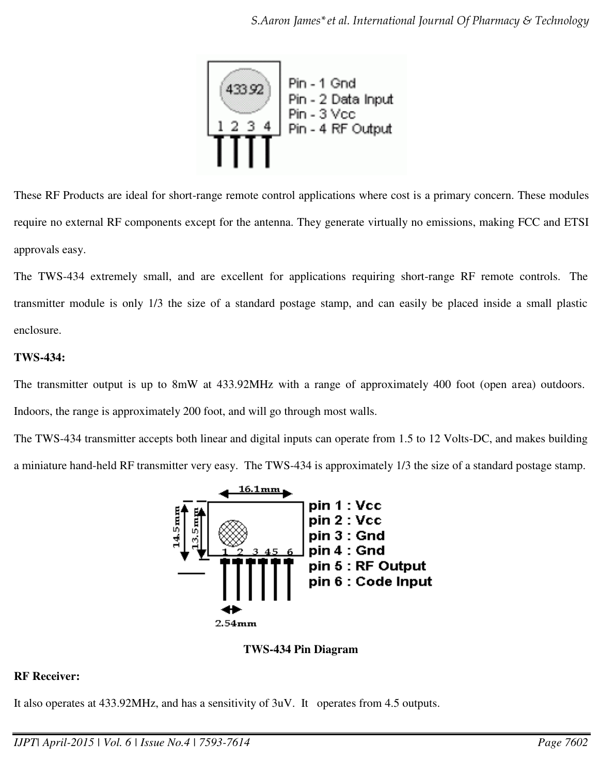

These RF Products are ideal for short-range remote control applications where cost is a primary concern. These modules require no external RF components except for the antenna. They generate virtually no emissions, making FCC and ETSI approvals easy.

The TWS-434 extremely small, and are excellent for applications requiring short-range RF remote controls. The transmitter module is only 1/3 the size of a standard postage stamp, and can easily be placed inside a small plastic enclosure.

# **TWS-434:**

The transmitter output is up to 8mW at 433.92MHz with a range of approximately 400 foot (open area) outdoors. Indoors, the range is approximately 200 foot, and will go through most walls.

The TWS-434 transmitter accepts both linear and digital inputs can operate from 1.5 to 12 Volts-DC, and makes building a miniature hand-held RF transmitter very easy. The TWS-434 is approximately 1/3 the size of a standard postage stamp.





# **RF Receiver:**

It also operates at 433.92MHz, and has a sensitivity of 3uV. It operates from 4.5 outputs.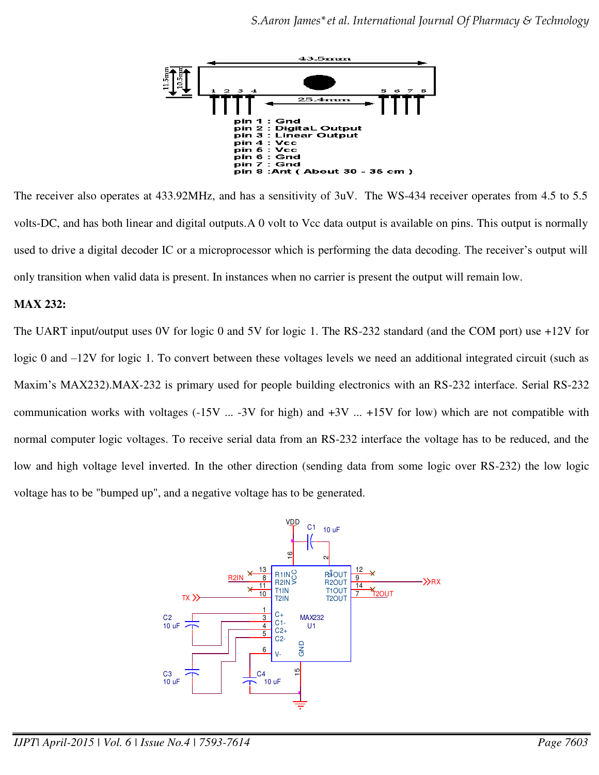

The receiver also operates at 433.92MHz, and has a sensitivity of 3uV. The WS-434 receiver operates from 4.5 to 5.5 volts-DC, and has both linear and digital outputs.A 0 volt to Vcc data output is available on pins. This output is normally used to drive a digital decoder IC or a microprocessor which is performing the data decoding. The receiver's output will only transition when valid data is present. In instances when no carrier is present the output will remain low.

# **MAX 232:**

The UART input/output uses 0V for logic 0 and 5V for logic 1. The RS-232 standard (and the COM port) use +12V for logic 0 and –12V for logic 1. To convert between these voltages levels we need an additional integrated circuit (such as Maxim's MAX232).MAX-232 is primary used for people building electronics with an RS-232 interface. Serial RS-232 communication works with voltages  $(-15V \dots -3V$  for high) and  $+3V \dots +15V$  for low) which are not compatible with normal computer logic voltages. To receive serial data from an RS-232 interface the voltage has to be reduced, and the low and high voltage level inverted. In the other direction (sending data from some logic over RS-232) the low logic voltage has to be "bumped up", and a negative voltage has to be generated.

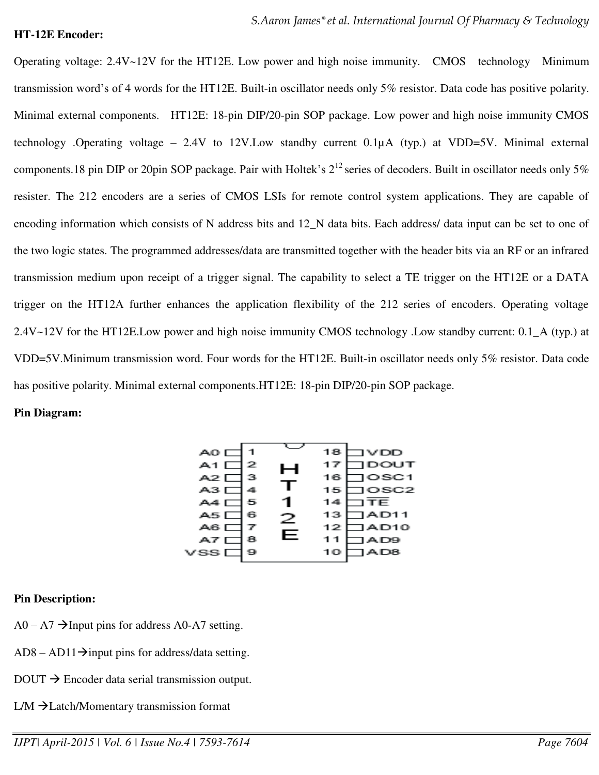#### **HT-12E Encoder:**

Operating voltage: 2.4V~12V for the HT12E. Low power and high noise immunity. CMOS technology Minimum transmission word's of 4 words for the HT12E. Built-in oscillator needs only 5% resistor. Data code has positive polarity. Minimal external components. HT12E: 18-pin DIP/20-pin SOP package. Low power and high noise immunity CMOS technology .Operating voltage – 2.4V to 12V.Low standby current 0.1µA (typ.) at VDD=5V. Minimal external components.18 pin DIP or 20pin SOP package. Pair with Holtek's  $2^{12}$  series of decoders. Built in oscillator needs only 5% resister. The 212 encoders are a series of CMOS LSIs for remote control system applications. They are capable of encoding information which consists of N address bits and 12\_N data bits. Each address/ data input can be set to one of the two logic states. The programmed addresses/data are transmitted together with the header bits via an RF or an infrared transmission medium upon receipt of a trigger signal. The capability to select a TE trigger on the HT12E or a DATA trigger on the HT12A further enhances the application flexibility of the 212 series of encoders. Operating voltage 2.4V~12V for the HT12E.Low power and high noise immunity CMOS technology .Low standby current: 0.1\_A (typ.) at VDD=5V.Minimum transmission word. Four words for the HT12E. Built-in oscillator needs only 5% resistor. Data code has positive polarity. Minimal external components.HT12E: 18-pin DIP/20-pin SOP package.

#### **Pin Diagram:**



#### **Pin Description:**

- $A0 A7 \rightarrow$  Input pins for address A0-A7 setting.
- $AD8 AD11 \rightarrow$ input pins for address/data setting.
- $DOUT \rightarrow Encoder$  data serial transmission output.
- $LM \rightarrow$  Latch/Momentary transmission format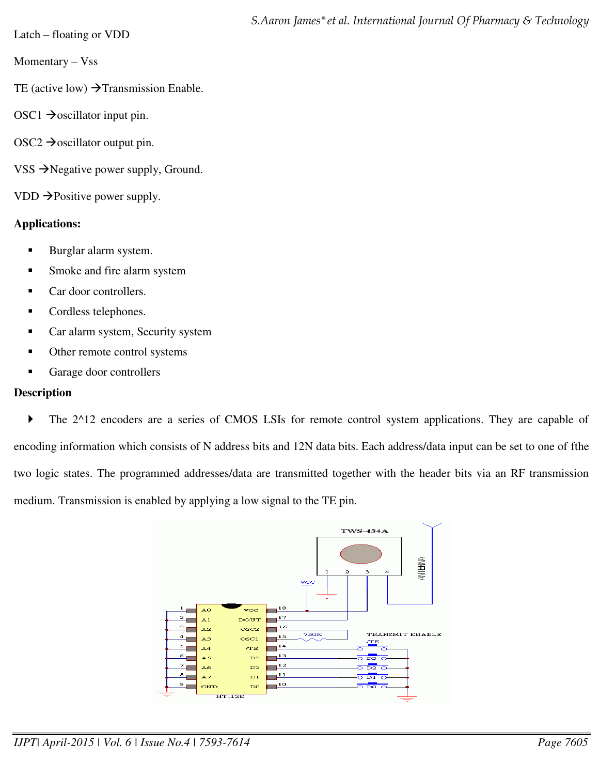Latch – floating or VDD

Momentary – Vss

TE (active low)  $\rightarrow$  Transmission Enable.

- OSC1  $\rightarrow$  oscillator input pin.
- $OSC2 \rightarrow$  oscillator output pin.
- VSS  $\rightarrow$  Negative power supply, Ground.

VDD  $\rightarrow$  Positive power supply.

# **Applications:**

- **Burglar alarm system.**
- **Smoke and fire alarm system**
- Car door controllers.
- **Cordless telephones.**
- Car alarm system, Security system
- Other remote control systems
- Garage door controllers

# **Description**

The 2^12 encoders are a series of CMOS LSIs for remote control system applications. They are capable of encoding information which consists of N address bits and 12N data bits. Each address/data input can be set to one of fthe two logic states. The programmed addresses/data are transmitted together with the header bits via an RF transmission medium. Transmission is enabled by applying a low signal to the TE pin.

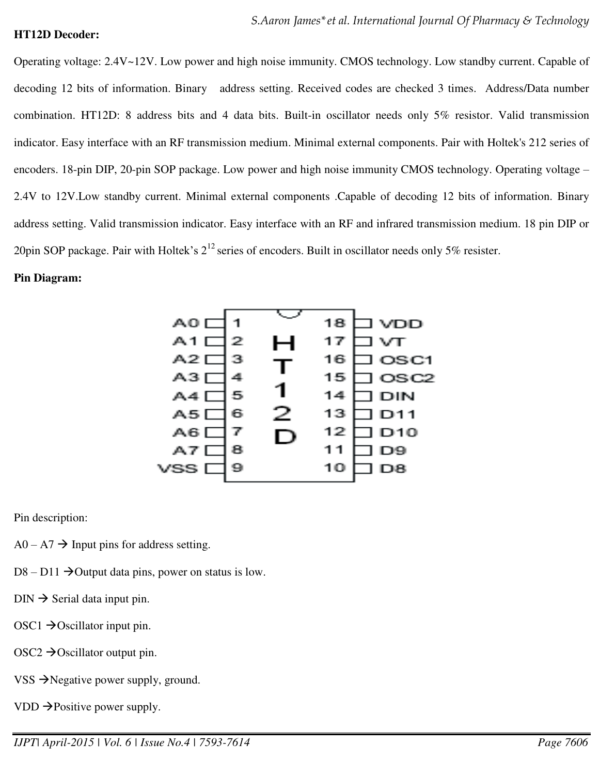#### **HT12D Decoder:**

Operating voltage: 2.4V~12V. Low power and high noise immunity. CMOS technology. Low standby current. Capable of decoding 12 bits of information. Binary address setting. Received codes are checked 3 times. Address/Data number combination. HT12D: 8 address bits and 4 data bits. Built-in oscillator needs only 5% resistor. Valid transmission indicator. Easy interface with an RF transmission medium. Minimal external components. Pair with Holtek's 212 series of encoders. 18-pin DIP, 20-pin SOP package. Low power and high noise immunity CMOS technology. Operating voltage – 2.4V to 12V.Low standby current. Minimal external components .Capable of decoding 12 bits of information. Binary address setting. Valid transmission indicator. Easy interface with an RF and infrared transmission medium. 18 pin DIP or 20pin SOP package. Pair with Holtek's  $2^{12}$  series of encoders. Built in oscillator needs only 5% resister.

#### **Pin Diagram:**



Pin description:

- $A0 A7 \rightarrow$  Input pins for address setting.
- $D8 D11 \rightarrow$ Output data pins, power on status is low.
- $\text{DIN} \rightarrow \text{Serial data input pin.}$
- $OSC1 \rightarrow Oscillator$  input pin.
- $OSC2 \rightarrow Oscillator$  output pin.
- VSS  $\rightarrow$  Negative power supply, ground.
- VDD  $\rightarrow$  Positive power supply.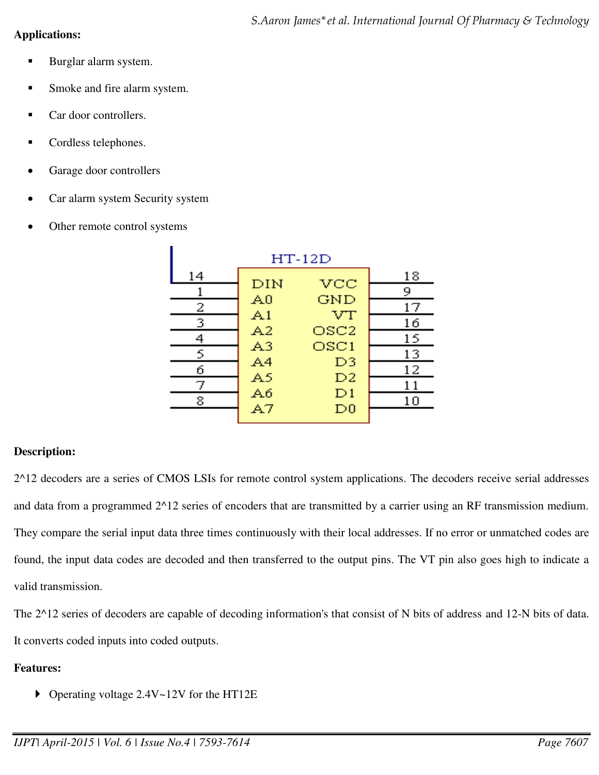# **Applications:**

- Burglar alarm system.
- **Smoke and fire alarm system.**
- Car door controllers.
- Cordless telephones.
- Garage door controllers
- Car alarm system Security system
- Other remote control systems

| $HT-12D$ |                |                  |    |
|----------|----------------|------------------|----|
| 14       | DIN            | $\rm{vcc}$       | 18 |
|          |                |                  | 9  |
| 2        | A0             | GND              | 17 |
| 3        | A1             | VT               | 16 |
|          | A2             | OSC <sub>2</sub> | 15 |
| 5        | A <sub>3</sub> | OSC1             | 13 |
| б        | A4             | D3               | 12 |
| 7        | A5             | D <sub>2</sub>   | 11 |
| 8        | Aб             | D1               | 10 |
|          | A7             | $_{\rm D0}$      |    |

# **Description:**

2^12 decoders are a series of CMOS LSIs for remote control system applications. The decoders receive serial addresses and data from a programmed 2^12 series of encoders that are transmitted by a carrier using an RF transmission medium. They compare the serial input data three times continuously with their local addresses. If no error or unmatched codes are found, the input data codes are decoded and then transferred to the output pins. The VT pin also goes high to indicate a valid transmission.

The 2^12 series of decoders are capable of decoding information's that consist of N bits of address and 12-N bits of data. It converts coded inputs into coded outputs.

# **Features:**

▶ Operating voltage 2.4V~12V for the HT12E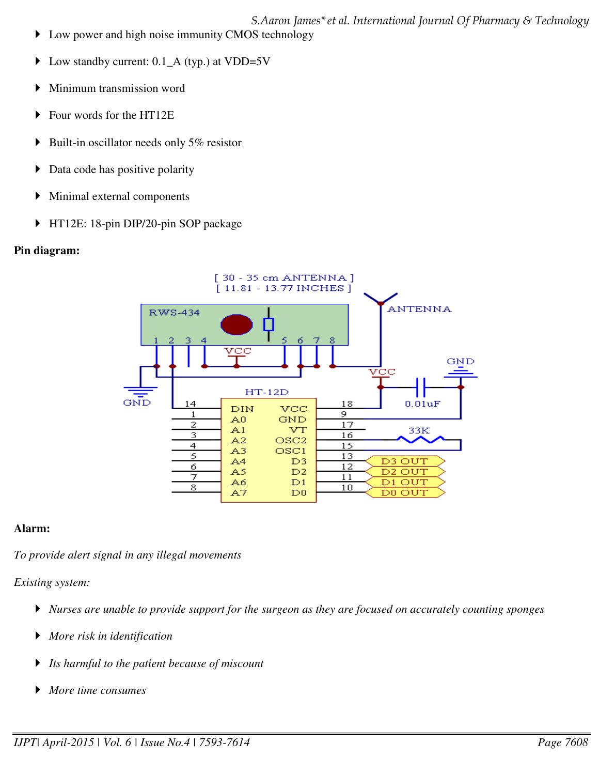*S.Aaron James\*et al. International Journal Of Pharmacy & Technology*  ▶ Low power and high noise immunity CMOS technology

- Low standby current: 0.1\_A (typ.) at VDD=5V
- Minimum transmission word
- ▶ Four words for the HT12E
- $\triangleright$  Built-in oscillator needs only 5% resistor
- $\triangleright$  Data code has positive polarity
- Minimal external components
- ▶ HT12E: 18-pin DIP/20-pin SOP package

#### **Pin diagram:**



#### **Alarm:**

*To provide alert signal in any illegal movements*

*Existing system:* 

- *Nurses are unable to provide support for the surgeon as they are focused on accurately counting sponges*
- *More risk in identification*
- *Its harmful to the patient because of miscount*
- *More time consumes*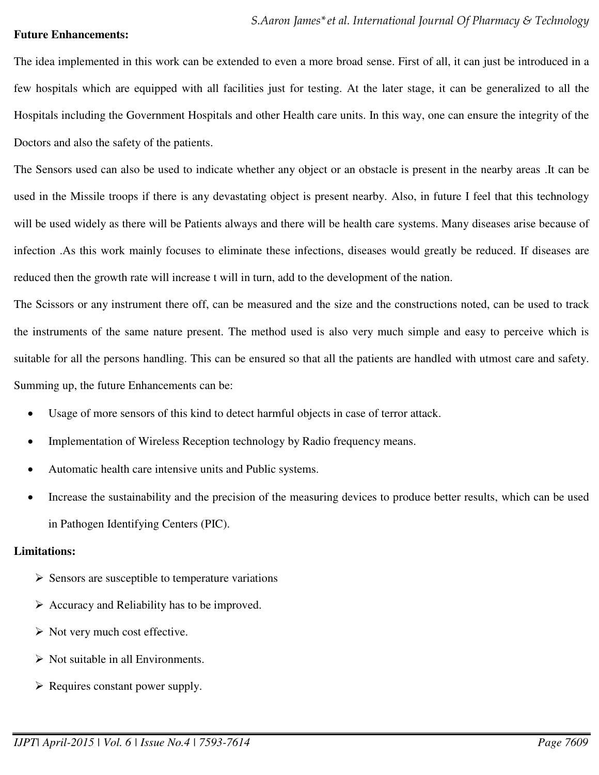#### **Future Enhancements:**

The idea implemented in this work can be extended to even a more broad sense. First of all, it can just be introduced in a few hospitals which are equipped with all facilities just for testing. At the later stage, it can be generalized to all the Hospitals including the Government Hospitals and other Health care units. In this way, one can ensure the integrity of the Doctors and also the safety of the patients.

The Sensors used can also be used to indicate whether any object or an obstacle is present in the nearby areas .It can be used in the Missile troops if there is any devastating object is present nearby. Also, in future I feel that this technology will be used widely as there will be Patients always and there will be health care systems. Many diseases arise because of infection .As this work mainly focuses to eliminate these infections, diseases would greatly be reduced. If diseases are reduced then the growth rate will increase t will in turn, add to the development of the nation.

The Scissors or any instrument there off, can be measured and the size and the constructions noted, can be used to track the instruments of the same nature present. The method used is also very much simple and easy to perceive which is suitable for all the persons handling. This can be ensured so that all the patients are handled with utmost care and safety. Summing up, the future Enhancements can be:

- Usage of more sensors of this kind to detect harmful objects in case of terror attack.
- Implementation of Wireless Reception technology by Radio frequency means.
- Automatic health care intensive units and Public systems.
- Increase the sustainability and the precision of the measuring devices to produce better results, which can be used in Pathogen Identifying Centers (PIC).

# **Limitations:**

- $\triangleright$  Sensors are susceptible to temperature variations
- $\triangleright$  Accuracy and Reliability has to be improved.
- $\triangleright$  Not very much cost effective.
- $\triangleright$  Not suitable in all Environments.
- $\triangleright$  Requires constant power supply.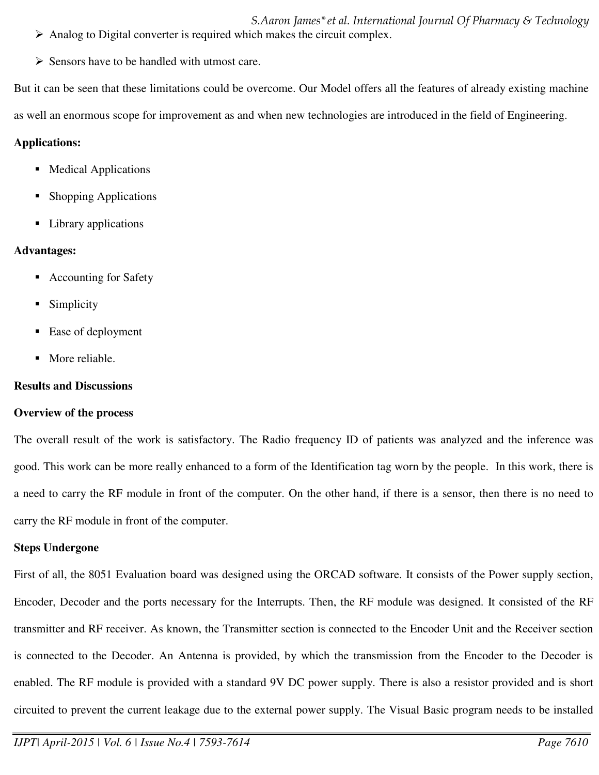*S.Aaron James\*et al. International Journal Of Pharmacy & Technology*   $\triangleright$  Analog to Digital converter is required which makes the circuit complex.

 $\triangleright$  Sensors have to be handled with utmost care.

But it can be seen that these limitations could be overcome. Our Model offers all the features of already existing machine

as well an enormous scope for improvement as and when new technologies are introduced in the field of Engineering.

# **Applications:**

- Medical Applications
- Shopping Applications
- Library applications

# **Advantages:**

- Accounting for Safety
- Simplicity
- Ease of deployment
- More reliable.

# **Results and Discussions**

# **Overview of the process**

The overall result of the work is satisfactory. The Radio frequency ID of patients was analyzed and the inference was good. This work can be more really enhanced to a form of the Identification tag worn by the people. In this work, there is a need to carry the RF module in front of the computer. On the other hand, if there is a sensor, then there is no need to carry the RF module in front of the computer.

# **Steps Undergone**

First of all, the 8051 Evaluation board was designed using the ORCAD software. It consists of the Power supply section, Encoder, Decoder and the ports necessary for the Interrupts. Then, the RF module was designed. It consisted of the RF transmitter and RF receiver. As known, the Transmitter section is connected to the Encoder Unit and the Receiver section is connected to the Decoder. An Antenna is provided, by which the transmission from the Encoder to the Decoder is enabled. The RF module is provided with a standard 9V DC power supply. There is also a resistor provided and is short circuited to prevent the current leakage due to the external power supply. The Visual Basic program needs to be installed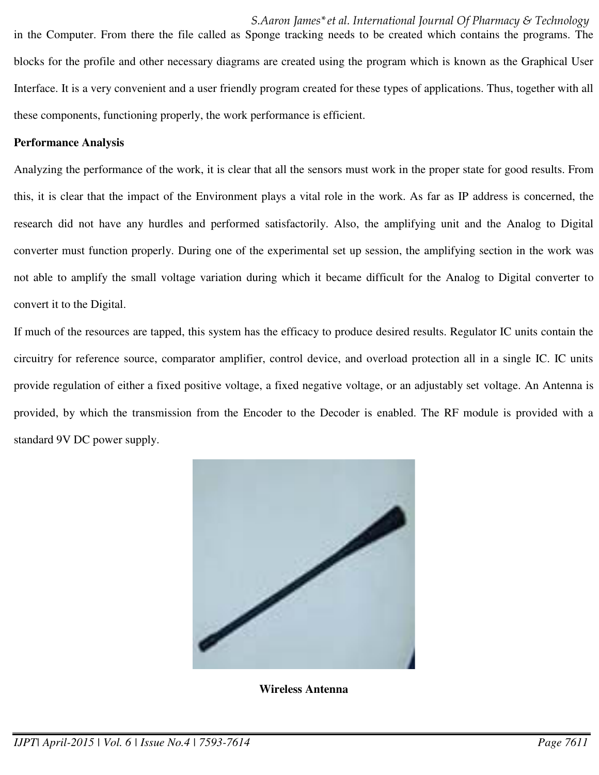*S.Aaron James\*et al. International Journal Of Pharmacy & Technology*  in the Computer. From there the file called as Sponge tracking needs to be created which contains the programs. The blocks for the profile and other necessary diagrams are created using the program which is known as the Graphical User Interface. It is a very convenient and a user friendly program created for these types of applications. Thus, together with all these components, functioning properly, the work performance is efficient.

#### **Performance Analysis**

Analyzing the performance of the work, it is clear that all the sensors must work in the proper state for good results. From this, it is clear that the impact of the Environment plays a vital role in the work. As far as IP address is concerned, the research did not have any hurdles and performed satisfactorily. Also, the amplifying unit and the Analog to Digital converter must function properly. During one of the experimental set up session, the amplifying section in the work was not able to amplify the small voltage variation during which it became difficult for the Analog to Digital converter to convert it to the Digital.

If much of the resources are tapped, this system has the efficacy to produce desired results. Regulator IC units contain the circuitry for reference source, comparator amplifier, control device, and overload protection all in a single IC. IC units provide regulation of either a fixed positive voltage, a fixed negative voltage, or an adjustably set voltage. An Antenna is provided, by which the transmission from the Encoder to the Decoder is enabled. The RF module is provided with a standard 9V DC power supply.



**Wireless Antenna**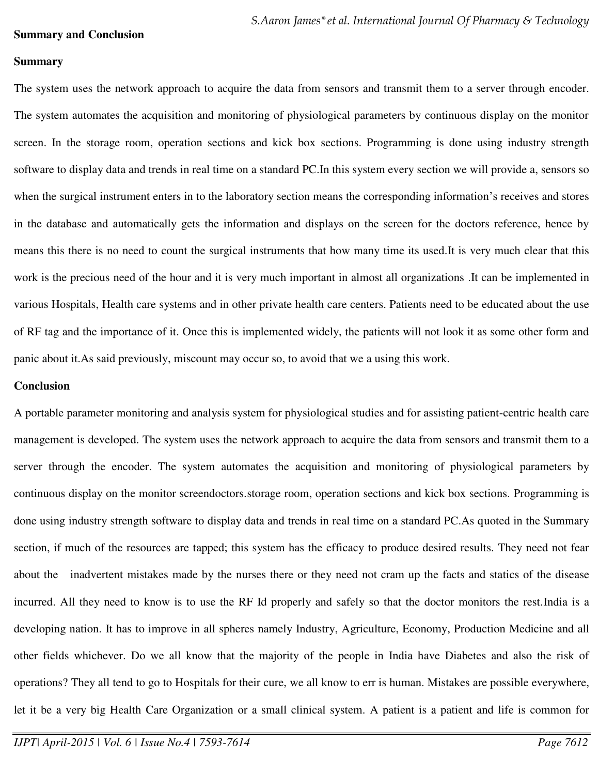#### **Summary and Conclusion**

#### **Summary**

The system uses the network approach to acquire the data from sensors and transmit them to a server through encoder. The system automates the acquisition and monitoring of physiological parameters by continuous display on the monitor screen. In the storage room, operation sections and kick box sections. Programming is done using industry strength software to display data and trends in real time on a standard PC.In this system every section we will provide a, sensors so when the surgical instrument enters in to the laboratory section means the corresponding information's receives and stores in the database and automatically gets the information and displays on the screen for the doctors reference, hence by means this there is no need to count the surgical instruments that how many time its used.It is very much clear that this work is the precious need of the hour and it is very much important in almost all organizations .It can be implemented in various Hospitals, Health care systems and in other private health care centers. Patients need to be educated about the use of RF tag and the importance of it. Once this is implemented widely, the patients will not look it as some other form and panic about it.As said previously, miscount may occur so, to avoid that we a using this work.

#### **Conclusion**

A portable parameter monitoring and analysis system for physiological studies and for assisting patient-centric health care management is developed. The system uses the network approach to acquire the data from sensors and transmit them to a server through the encoder. The system automates the acquisition and monitoring of physiological parameters by continuous display on the monitor screendoctors.storage room, operation sections and kick box sections. Programming is done using industry strength software to display data and trends in real time on a standard PC.As quoted in the Summary section, if much of the resources are tapped; this system has the efficacy to produce desired results. They need not fear about the inadvertent mistakes made by the nurses there or they need not cram up the facts and statics of the disease incurred. All they need to know is to use the RF Id properly and safely so that the doctor monitors the rest.India is a developing nation. It has to improve in all spheres namely Industry, Agriculture, Economy, Production Medicine and all other fields whichever. Do we all know that the majority of the people in India have Diabetes and also the risk of operations? They all tend to go to Hospitals for their cure, we all know to err is human. Mistakes are possible everywhere, let it be a very big Health Care Organization or a small clinical system. A patient is a patient and life is common for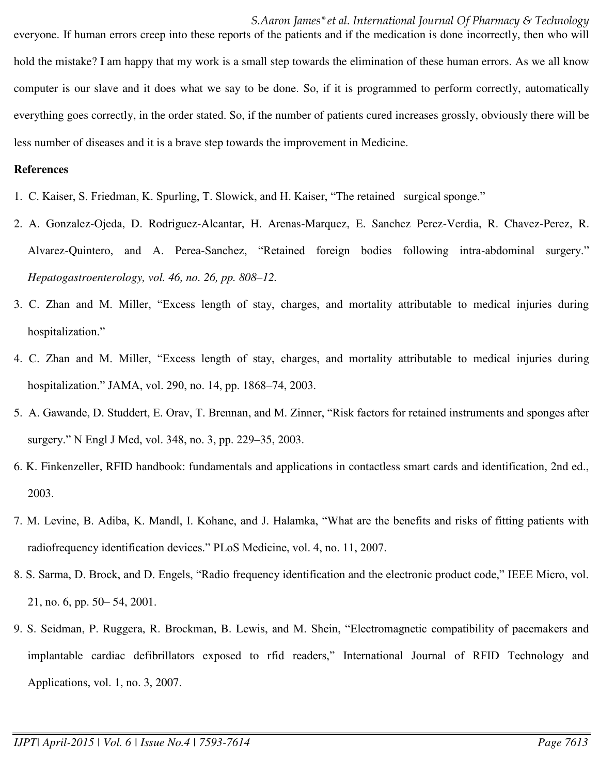#### *S.Aaron James\*et al. International Journal Of Pharmacy & Technology*

everyone. If human errors creep into these reports of the patients and if the medication is done incorrectly, then who will hold the mistake? I am happy that my work is a small step towards the elimination of these human errors. As we all know computer is our slave and it does what we say to be done. So, if it is programmed to perform correctly, automatically everything goes correctly, in the order stated. So, if the number of patients cured increases grossly, obviously there will be less number of diseases and it is a brave step towards the improvement in Medicine.

#### **References**

- 1. C. Kaiser, S. Friedman, K. Spurling, T. Slowick, and H. Kaiser, "The retained surgical sponge."
- 2. A. Gonzalez-Ojeda, D. Rodriguez-Alcantar, H. Arenas-Marquez, E. Sanchez Perez-Verdia, R. Chavez-Perez, R. Alvarez-Quintero, and A. Perea-Sanchez, "Retained foreign bodies following intra-abdominal surgery." *Hepatogastroenterology, vol. 46, no. 26, pp. 808–12.*
- 3. C. Zhan and M. Miller, "Excess length of stay, charges, and mortality attributable to medical injuries during hospitalization."
- 4. C. Zhan and M. Miller, "Excess length of stay, charges, and mortality attributable to medical injuries during hospitalization." JAMA, vol. 290, no. 14, pp. 1868–74, 2003.
- 5. A. Gawande, D. Studdert, E. Orav, T. Brennan, and M. Zinner, "Risk factors for retained instruments and sponges after surgery." N Engl J Med, vol. 348, no. 3, pp. 229–35, 2003.
- 6. K. Finkenzeller, RFID handbook: fundamentals and applications in contactless smart cards and identification, 2nd ed., 2003.
- 7. M. Levine, B. Adiba, K. Mandl, I. Kohane, and J. Halamka, "What are the benefits and risks of fitting patients with radiofrequency identification devices." PLoS Medicine, vol. 4, no. 11, 2007.
- 8. S. Sarma, D. Brock, and D. Engels, "Radio frequency identification and the electronic product code," IEEE Micro, vol. 21, no. 6, pp. 50– 54, 2001.
- 9. S. Seidman, P. Ruggera, R. Brockman, B. Lewis, and M. Shein, "Electromagnetic compatibility of pacemakers and implantable cardiac defibrillators exposed to rfid readers," International Journal of RFID Technology and Applications, vol. 1, no. 3, 2007.